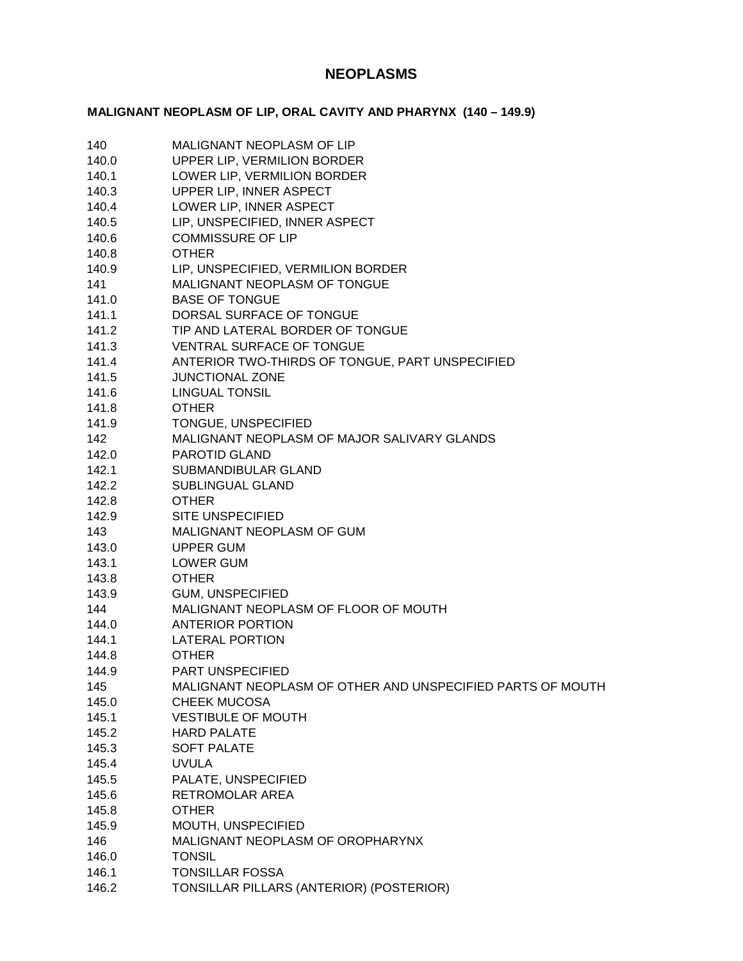# **NEOPLASMS**

# **MALIGNANT NEOPLASM OF LIP, ORAL CAVITY AND PHARYNX (140 – 149.9)**

| 140   | <b>MALIGNANT NEOPLASM OF LIP</b>                           |
|-------|------------------------------------------------------------|
| 140.0 | UPPER LIP, VERMILION BORDER                                |
| 140.1 | LOWER LIP, VERMILION BORDER                                |
| 140.3 | UPPER LIP, INNER ASPECT                                    |
| 140.4 | LOWER LIP, INNER ASPECT                                    |
| 140.5 | LIP, UNSPECIFIED, INNER ASPECT                             |
| 140.6 | <b>COMMISSURE OF LIP</b>                                   |
| 140.8 | <b>OTHER</b>                                               |
| 140.9 | LIP, UNSPECIFIED, VERMILION BORDER                         |
| 141   | MALIGNANT NEOPLASM OF TONGUE                               |
| 141.0 | <b>BASE OF TONGUE</b>                                      |
| 141.1 | DORSAL SURFACE OF TONGUE                                   |
| 141.2 | TIP AND LATERAL BORDER OF TONGUE                           |
| 141.3 | <b>VENTRAL SURFACE OF TONGUE</b>                           |
| 141.4 | ANTERIOR TWO-THIRDS OF TONGUE, PART UNSPECIFIED            |
| 141.5 | <b>JUNCTIONAL ZONE</b>                                     |
| 141.6 | <b>LINGUAL TONSIL</b>                                      |
| 141.8 | <b>OTHER</b>                                               |
| 141.9 | TONGUE, UNSPECIFIED                                        |
| 142   | MALIGNANT NEOPLASM OF MAJOR SALIVARY GLANDS                |
| 142.0 | <b>PAROTID GLAND</b>                                       |
| 142.1 | <b>SUBMANDIBULAR GLAND</b>                                 |
| 142.2 | <b>SUBLINGUAL GLAND</b>                                    |
| 142.8 | <b>OTHER</b>                                               |
| 142.9 | <b>SITE UNSPECIFIED</b>                                    |
| 143   | MALIGNANT NEOPLASM OF GUM                                  |
| 143.0 | <b>UPPER GUM</b>                                           |
| 143.1 | <b>LOWER GUM</b>                                           |
| 143.8 | <b>OTHER</b>                                               |
| 143.9 | <b>GUM, UNSPECIFIED</b>                                    |
| 144   | MALIGNANT NEOPLASM OF FLOOR OF MOUTH                       |
| 144.0 | <b>ANTERIOR PORTION</b>                                    |
| 144.1 | <b>LATERAL PORTION</b>                                     |
| 144.8 | <b>OTHER</b>                                               |
| 144.9 | <b>PART UNSPECIFIED</b>                                    |
| 145   | MALIGNANT NEOPLASM OF OTHER AND UNSPECIFIED PARTS OF MOUTH |
| 145.0 | <b>CHEEK MUCOSA</b>                                        |
| 145.1 | <b>VESTIBULE OF MOUTH</b>                                  |
| 145.2 | <b>HARD PALATE</b>                                         |
| 145.3 | <b>SOFT PALATE</b>                                         |
| 145.4 | <b>UVULA</b>                                               |
| 145.5 | PALATE, UNSPECIFIED                                        |
| 145.6 | RETROMOLAR AREA                                            |
| 145.8 | <b>OTHER</b>                                               |
| 145.9 | MOUTH, UNSPECIFIED                                         |
| 146   | MALIGNANT NEOPLASM OF OROPHARYNX                           |
| 146.0 | <b>TONSIL</b>                                              |
| 146.1 | <b>TONSILLAR FOSSA</b>                                     |
| 146.2 | TONSILLAR PILLARS (ANTERIOR) (POSTERIOR)                   |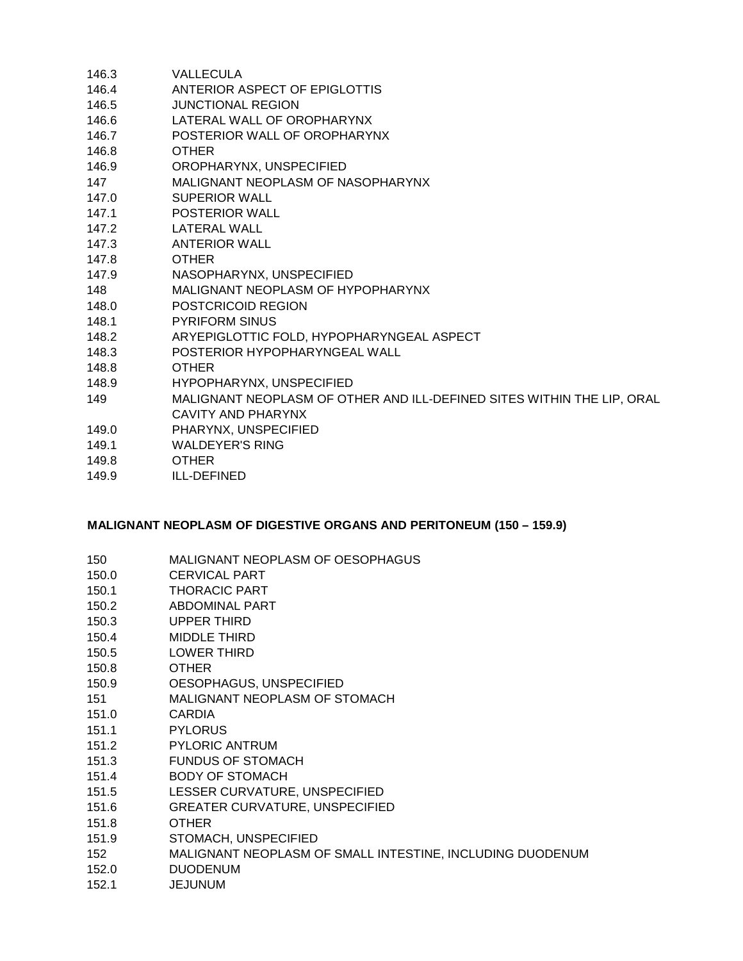| <b>VALLECULA</b>                                                       |
|------------------------------------------------------------------------|
| ANTERIOR ASPECT OF EPIGLOTTIS                                          |
| <b>JUNCTIONAL REGION</b>                                               |
| LATERAL WALL OF OROPHARYNX                                             |
| POSTERIOR WALL OF OROPHARYNX                                           |
| <b>OTHER</b>                                                           |
| OROPHARYNX, UNSPECIFIED                                                |
| MALIGNANT NEOPLASM OF NASOPHARYNX                                      |
| SUPERIOR WALL                                                          |
| <b>POSTERIOR WALL</b>                                                  |
| LATERAL WALL                                                           |
| <b>ANTERIOR WALL</b>                                                   |
| <b>OTHER</b>                                                           |
| NASOPHARYNX, UNSPECIFIED                                               |
| MALIGNANT NEOPLASM OF HYPOPHARYNX                                      |
| POSTCRICOID REGION                                                     |
| <b>PYRIFORM SINUS</b>                                                  |
| ARYEPIGLOTTIC FOLD, HYPOPHARYNGEAL ASPECT                              |
| POSTERIOR HYPOPHARYNGEAL WALL                                          |
| <b>OTHER</b>                                                           |
| HYPOPHARYNX, UNSPECIFIED                                               |
| MALIGNANT NEOPLASM OF OTHER AND ILL-DEFINED SITES WITHIN THE LIP, ORAL |
| CAVITY AND PHARYNX                                                     |
| PHARYNX, UNSPECIFIED                                                   |
| <b>WALDEYER'S RING</b>                                                 |
| <b>OTHER</b>                                                           |
| ILL-DEFINED                                                            |
|                                                                        |

#### **MALIGNANT NEOPLASM OF DIGESTIVE ORGANS AND PERITONEUM (150 – 159.9)**

- 150.0 CERVICAL PART
- 150.1 THORACIC PART
- 150.2 ABDOMINAL PART
- 150.3 UPPER THIRD
- 150.4 MIDDLE THIRD
- 150.5 LOWER THIRD
- 150.8 OTHER
- 150.9 OESOPHAGUS, UNSPECIFIED
- 151 MALIGNANT NEOPLASM OF STOMACH
- 151.0 CARDIA
- 151.1 PYLORUS
- 151.2 PYLORIC ANTRUM
- 151.3 FUNDUS OF STOMACH
- 151.4 BODY OF STOMACH
- 151.5 LESSER CURVATURE, UNSPECIFIED
- 151.6 GREATER CURVATURE, UNSPECIFIED
- 151.8 OTHER
- 151.9 STOMACH, UNSPECIFIED
- 152 MALIGNANT NEOPLASM OF SMALL INTESTINE, INCLUDING DUODENUM
- 152.0 DUODENUM
- 152.1 JEJUNUM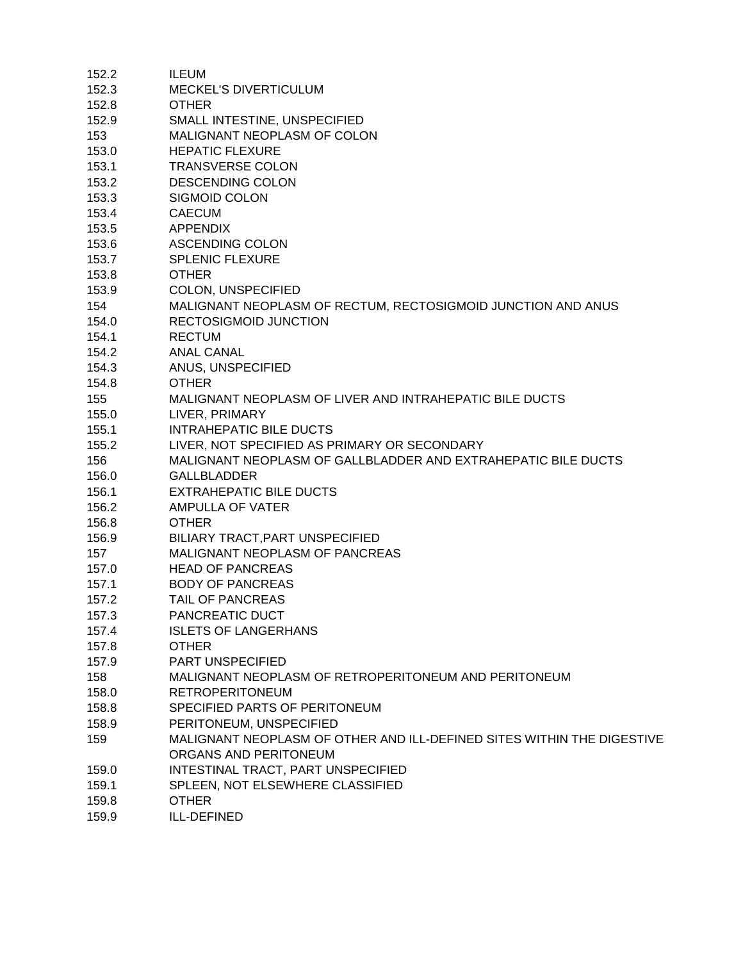| 152.2 | ILEUM                                                                  |
|-------|------------------------------------------------------------------------|
| 152.3 | MECKEL'S DIVERTICULUM                                                  |
| 152.8 | <b>OTHER</b>                                                           |
| 152.9 | SMALL INTESTINE, UNSPECIFIED                                           |
| 153   | MALIGNANT NEOPLASM OF COLON                                            |
| 153.0 | <b>HEPATIC FLEXURE</b>                                                 |
| 153.1 | <b>TRANSVERSE COLON</b>                                                |
| 153.2 | <b>DESCENDING COLON</b>                                                |
| 153.3 | <b>SIGMOID COLON</b>                                                   |
| 153.4 | <b>CAECUM</b>                                                          |
| 153.5 | <b>APPENDIX</b>                                                        |
| 153.6 | <b>ASCENDING COLON</b>                                                 |
| 153.7 | <b>SPLENIC FLEXURE</b>                                                 |
| 153.8 | <b>OTHER</b>                                                           |
| 153.9 | COLON, UNSPECIFIED                                                     |
| 154   | MALIGNANT NEOPLASM OF RECTUM, RECTOSIGMOID JUNCTION AND ANUS           |
| 154.0 | <b>RECTOSIGMOID JUNCTION</b>                                           |
| 154.1 | <b>RECTUM</b>                                                          |
| 154.2 | <b>ANAL CANAL</b>                                                      |
| 154.3 | ANUS, UNSPECIFIED                                                      |
| 154.8 | <b>OTHER</b>                                                           |
| 155   | MALIGNANT NEOPLASM OF LIVER AND INTRAHEPATIC BILE DUCTS                |
| 155.0 | LIVER, PRIMARY                                                         |
| 155.1 | <b>INTRAHEPATIC BILE DUCTS</b>                                         |
| 155.2 | LIVER, NOT SPECIFIED AS PRIMARY OR SECONDARY                           |
| 156   | MALIGNANT NEOPLASM OF GALLBLADDER AND EXTRAHEPATIC BILE DUCTS          |
| 156.0 | <b>GALLBLADDER</b>                                                     |
| 156.1 | <b>EXTRAHEPATIC BILE DUCTS</b>                                         |
| 156.2 | AMPULLA OF VATER                                                       |
| 156.8 | <b>OTHER</b>                                                           |
| 156.9 | BILIARY TRACT, PART UNSPECIFIED                                        |
| 157   | MALIGNANT NEOPLASM OF PANCREAS                                         |
| 157.0 | <b>HEAD OF PANCREAS</b>                                                |
| 157.1 | <b>BODY OF PANCREAS</b>                                                |
| 157.2 | TAIL OF PANCREAS                                                       |
| 157.3 | PANCREATIC DUCT                                                        |
| 157.4 | <b>ISLETS OF LANGERHANS</b>                                            |
| 157.8 | <b>OTHER</b>                                                           |
| 157.9 | PART UNSPECIFIED                                                       |
| 158   | MALIGNANT NEOPLASM OF RETROPERITONEUM AND PERITONEUM                   |
| 158.0 | <b>RETROPERITONEUM</b>                                                 |
| 158.8 | SPECIFIED PARTS OF PERITONEUM                                          |
| 158.9 | PERITONEUM, UNSPECIFIED                                                |
| 159   | MALIGNANT NEOPLASM OF OTHER AND ILL-DEFINED SITES WITHIN THE DIGESTIVE |
|       | ORGANS AND PERITONEUM                                                  |
| 159.0 | INTESTINAL TRACT, PART UNSPECIFIED                                     |
| 159.1 | SPLEEN, NOT ELSEWHERE CLASSIFIED                                       |
| 159.8 | <b>OTHER</b>                                                           |
| 159.9 | ILL-DEFINED                                                            |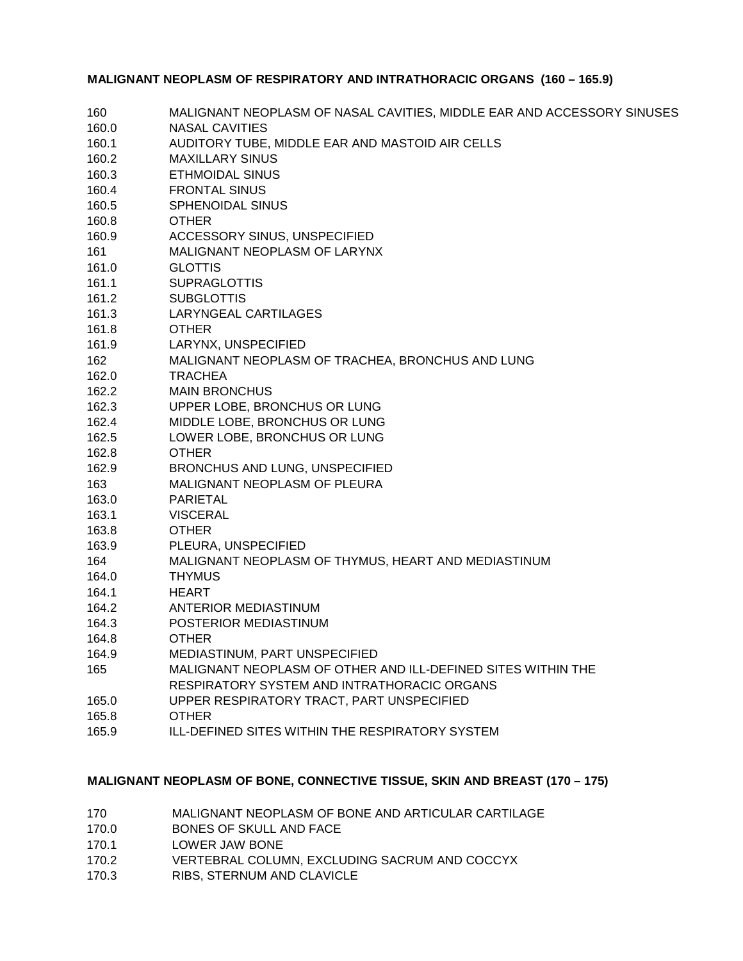#### **MALIGNANT NEOPLASM OF RESPIRATORY AND INTRATHORACIC ORGANS (160 – 165.9)**

| 160   | MALIGNANT NEOPLASM OF NASAL CAVITIES, MIDDLE EAR AND ACCESSORY SINUSES |
|-------|------------------------------------------------------------------------|
| 160.0 | <b>NASAL CAVITIES</b>                                                  |
| 160.1 | AUDITORY TUBE, MIDDLE EAR AND MASTOID AIR CELLS                        |
| 160.2 | <b>MAXILLARY SINUS</b>                                                 |
| 160.3 | <b>ETHMOIDAL SINUS</b>                                                 |
| 160.4 | <b>FRONTAL SINUS</b>                                                   |
| 160.5 | <b>SPHENOIDAL SINUS</b>                                                |
| 160.8 | <b>OTHER</b>                                                           |
| 160.9 | ACCESSORY SINUS, UNSPECIFIED                                           |
| 161   | MALIGNANT NEOPLASM OF LARYNX                                           |
| 161.0 | <b>GLOTTIS</b>                                                         |
| 161.1 | <b>SUPRAGLOTTIS</b>                                                    |
| 161.2 | <b>SUBGLOTTIS</b>                                                      |
| 161.3 | LARYNGEAL CARTILAGES                                                   |
| 161.8 | <b>OTHER</b>                                                           |
| 161.9 | LARYNX, UNSPECIFIED                                                    |
| 162   | MALIGNANT NEOPLASM OF TRACHEA, BRONCHUS AND LUNG                       |
| 162.0 | <b>TRACHEA</b>                                                         |
| 162.2 | <b>MAIN BRONCHUS</b>                                                   |
| 162.3 | UPPER LOBE, BRONCHUS OR LUNG                                           |
| 162.4 | MIDDLE LOBE, BRONCHUS OR LUNG                                          |
| 162.5 | LOWER LOBE, BRONCHUS OR LUNG                                           |
| 162.8 | <b>OTHER</b>                                                           |
| 162.9 | BRONCHUS AND LUNG, UNSPECIFIED                                         |
| 163   | MALIGNANT NEOPLASM OF PLEURA                                           |
| 163.0 | PARIETAL                                                               |
| 163.1 | <b>VISCERAL</b>                                                        |
| 163.8 | <b>OTHER</b>                                                           |
| 163.9 | PLEURA, UNSPECIFIED                                                    |
| 164   | MALIGNANT NEOPLASM OF THYMUS, HEART AND MEDIASTINUM                    |
| 164.0 | <b>THYMUS</b>                                                          |
| 164.1 | <b>HEART</b>                                                           |
| 164.2 | ANTERIOR MEDIASTINUM                                                   |
| 164.3 | POSTERIOR MEDIASTINUM                                                  |
| 164.8 | <b>OTHER</b>                                                           |
| 164.9 | MEDIASTINUM, PART UNSPECIFIED                                          |
| 165   | MALIGNANT NEOPLASM OF OTHER AND ILL-DEFINED SITES WITHIN THE           |
|       | RESPIRATORY SYSTEM AND INTRATHORACIC ORGANS                            |
| 165.0 | UPPER RESPIRATORY TRACT, PART UNSPECIFIED                              |
| 165.8 | <b>OTHER</b>                                                           |
| 165.9 | ILL-DEFINED SITES WITHIN THE RESPIRATORY SYSTEM                        |

#### **MALIGNANT NEOPLASM OF BONE, CONNECTIVE TISSUE, SKIN AND BREAST (170 – 175)**

| 170 | MALIGNANT NEOPLASM OF BONE AND ARTICULAR CARTILAGE |
|-----|----------------------------------------------------|
|-----|----------------------------------------------------|

- 170.0 BONES OF SKULL AND FACE
- 170.1 LOWER JAW BONE
- 170.2 VERTEBRAL COLUMN, EXCLUDING SACRUM AND COCCYX
- 170.3 RIBS, STERNUM AND CLAVICLE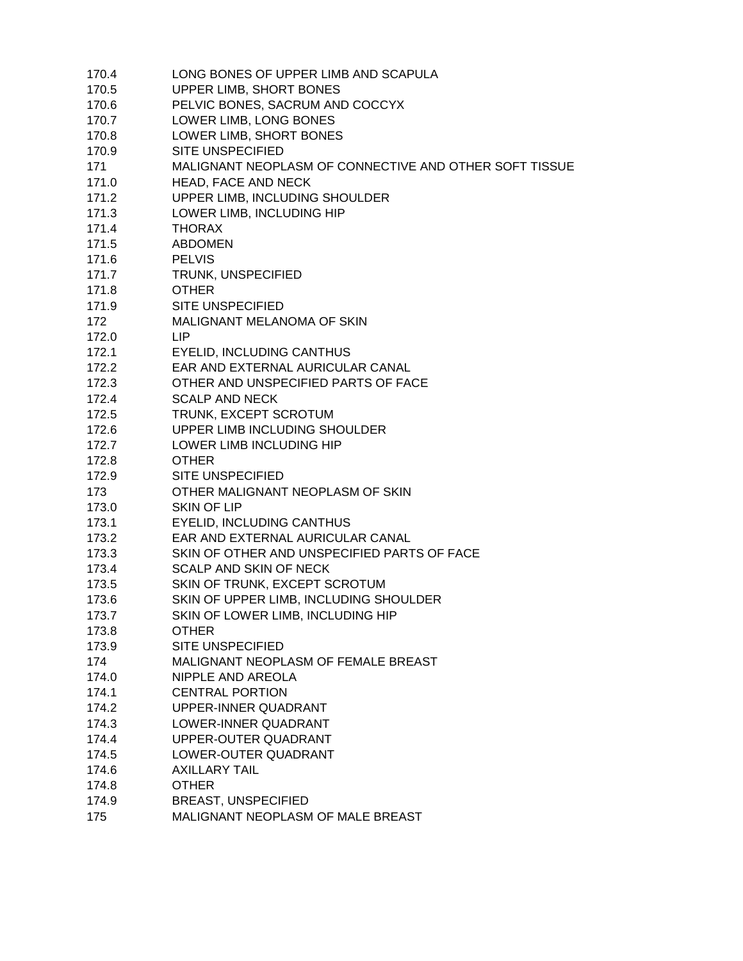| 170.4 | LONG BONES OF UPPER LIMB AND SCAPULA                   |
|-------|--------------------------------------------------------|
| 170.5 | UPPER LIMB, SHORT BONES                                |
| 170.6 | PELVIC BONES, SACRUM AND COCCYX                        |
| 170.7 | LOWER LIMB, LONG BONES                                 |
| 170.8 | LOWER LIMB, SHORT BONES                                |
| 170.9 | <b>SITE UNSPECIFIED</b>                                |
| 171   | MALIGNANT NEOPLASM OF CONNECTIVE AND OTHER SOFT TISSUE |
| 171.0 | HEAD, FACE AND NECK                                    |
| 171.2 | UPPER LIMB, INCLUDING SHOULDER                         |
| 171.3 | LOWER LIMB, INCLUDING HIP                              |
| 171.4 | <b>THORAX</b>                                          |
| 171.5 | <b>ABDOMEN</b>                                         |
| 171.6 | <b>PELVIS</b>                                          |
| 171.7 | TRUNK, UNSPECIFIED                                     |
| 171.8 | <b>OTHER</b>                                           |
| 171.9 | <b>SITE UNSPECIFIED</b>                                |
| 172   | MALIGNANT MELANOMA OF SKIN                             |
| 172.0 | LIP                                                    |
| 172.1 | <b>EYELID, INCLUDING CANTHUS</b>                       |
| 172.2 | EAR AND EXTERNAL AURICULAR CANAL                       |
| 172.3 | OTHER AND UNSPECIFIED PARTS OF FACE                    |
| 172.4 | <b>SCALP AND NECK</b>                                  |
| 172.5 | TRUNK, EXCEPT SCROTUM                                  |
| 172.6 | UPPER LIMB INCLUDING SHOULDER                          |
| 172.7 | LOWER LIMB INCLUDING HIP                               |
| 172.8 | <b>OTHER</b>                                           |
| 172.9 | <b>SITE UNSPECIFIED</b>                                |
| 173   | OTHER MALIGNANT NEOPLASM OF SKIN                       |
| 173.0 | <b>SKIN OF LIP</b>                                     |
| 173.1 | <b>EYELID, INCLUDING CANTHUS</b>                       |
| 173.2 | EAR AND EXTERNAL AURICULAR CANAL                       |
| 173.3 | SKIN OF OTHER AND UNSPECIFIED PARTS OF FACE            |
| 173.4 | <b>SCALP AND SKIN OF NECK</b>                          |
| 173.5 | SKIN OF TRUNK, EXCEPT SCROTUM                          |
| 173.6 | SKIN OF UPPER LIMB, INCLUDING SHOULDER                 |
| 173.7 | SKIN OF LOWER LIMB, INCLUDING HIP                      |
| 173.8 | <b>OTHER</b>                                           |
| 173.9 | <b>SITE UNSPECIFIED</b>                                |
| 174   | MALIGNANT NEOPLASM OF FEMALE BREAST                    |
| 174.0 | NIPPLE AND AREOLA                                      |
| 174.1 | <b>CENTRAL PORTION</b>                                 |
| 174.2 | UPPER-INNER QUADRANT                                   |
| 174.3 | LOWER-INNER QUADRANT                                   |
| 174.4 | UPPER-OUTER QUADRANT                                   |
|       |                                                        |
| 174.5 | LOWER-OUTER QUADRANT                                   |
| 174.6 | <b>AXILLARY TAIL</b>                                   |
| 174.8 | <b>OTHER</b>                                           |
| 174.9 | <b>BREAST, UNSPECIFIED</b>                             |
| 175   | MALIGNANT NEOPLASM OF MALE BREAST                      |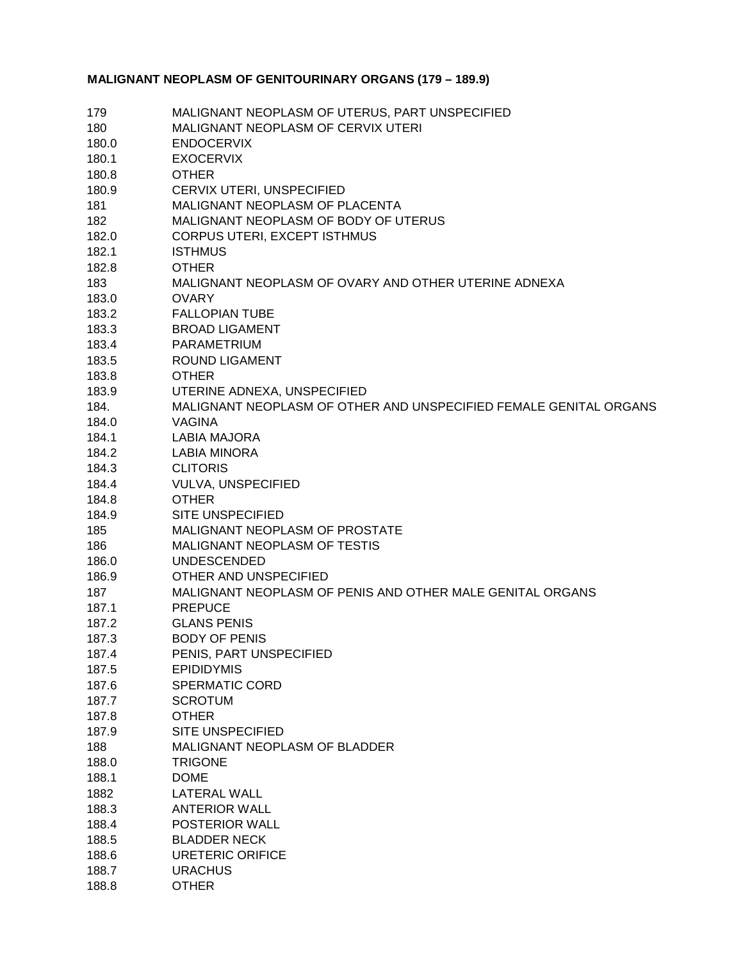## **MALIGNANT NEOPLASM OF GENITOURINARY ORGANS (179 – 189.9)**

| 179   | MALIGNANT NEOPLASM OF UTERUS, PART UNSPECIFIED                    |
|-------|-------------------------------------------------------------------|
| 180   | MALIGNANT NEOPLASM OF CERVIX UTERI                                |
| 180.0 | <b>ENDOCERVIX</b>                                                 |
| 180.1 | <b>EXOCERVIX</b>                                                  |
| 180.8 | <b>OTHER</b>                                                      |
| 180.9 | CERVIX UTERI, UNSPECIFIED                                         |
| 181   | MALIGNANT NEOPLASM OF PLACENTA                                    |
| 182   | MALIGNANT NEOPLASM OF BODY OF UTERUS                              |
| 182.0 | <b>CORPUS UTERI, EXCEPT ISTHMUS</b>                               |
| 182.1 | <b>ISTHMUS</b>                                                    |
| 182.8 | <b>OTHER</b>                                                      |
| 183   | MALIGNANT NEOPLASM OF OVARY AND OTHER UTERINE ADNEXA              |
| 183.0 | <b>OVARY</b>                                                      |
| 183.2 | <b>FALLOPIAN TUBE</b>                                             |
| 183.3 | <b>BROAD LIGAMENT</b>                                             |
| 183.4 | <b>PARAMETRIUM</b>                                                |
| 183.5 | <b>ROUND LIGAMENT</b>                                             |
| 183.8 | <b>OTHER</b>                                                      |
| 183.9 | UTERINE ADNEXA, UNSPECIFIED                                       |
| 184.  | MALIGNANT NEOPLASM OF OTHER AND UNSPECIFIED FEMALE GENITAL ORGANS |
| 184.0 | <b>VAGINA</b>                                                     |
| 184.1 |                                                                   |
|       | <b>LABIA MAJORA</b><br><b>LABIA MINORA</b>                        |
| 184.2 |                                                                   |
| 184.3 | <b>CLITORIS</b>                                                   |
| 184.4 | <b>VULVA, UNSPECIFIED</b>                                         |
| 184.8 | <b>OTHER</b>                                                      |
| 184.9 | <b>SITE UNSPECIFIED</b>                                           |
| 185   | MALIGNANT NEOPLASM OF PROSTATE                                    |
| 186   | MALIGNANT NEOPLASM OF TESTIS                                      |
| 186.0 | <b>UNDESCENDED</b>                                                |
| 186.9 | OTHER AND UNSPECIFIED                                             |
| 187   | MALIGNANT NEOPLASM OF PENIS AND OTHER MALE GENITAL ORGANS         |
| 187.1 | <b>PREPUCE</b>                                                    |
| 187.2 | <b>GLANS PENIS</b>                                                |
| 187.3 | <b>BODY OF PENIS</b>                                              |
| 187.4 | PENIS, PART UNSPECIFIED                                           |
| 187.5 | <b>EPIDIDYMIS</b>                                                 |
| 187.6 | SPERMATIC CORD                                                    |
| 187.7 | <b>SCROTUM</b>                                                    |
| 187.8 | <b>OTHER</b>                                                      |
| 187.9 | <b>SITE UNSPECIFIED</b>                                           |
| 188   | MALIGNANT NEOPLASM OF BLADDER                                     |
| 188.0 | <b>TRIGONE</b>                                                    |
| 188.1 | <b>DOME</b>                                                       |
| 1882  | <b>LATERAL WALL</b>                                               |
| 188.3 | <b>ANTERIOR WALL</b>                                              |
| 188.4 | POSTERIOR WALL                                                    |
| 188.5 | <b>BLADDER NECK</b>                                               |
| 188.6 | URETERIC ORIFICE                                                  |
| 188.7 | <b>URACHUS</b>                                                    |
| 188.8 | <b>OTHER</b>                                                      |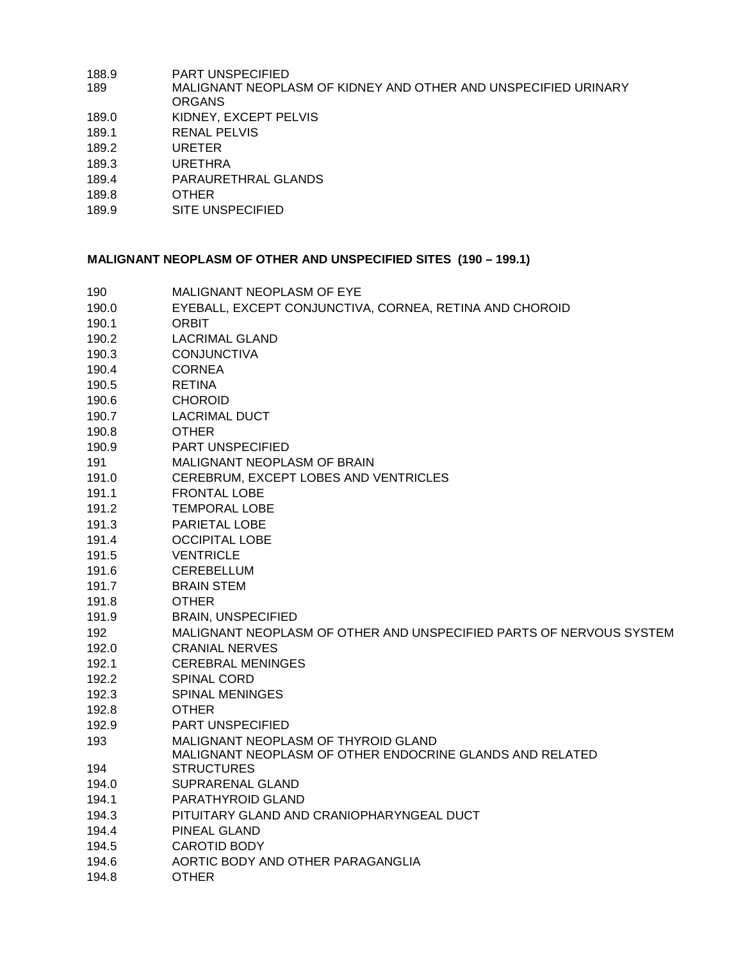| <b>PART UNSPECIFIED</b>                                        |
|----------------------------------------------------------------|
| MALIGNANT NEOPLASM OF KIDNEY AND OTHER AND UNSPECIFIED URINARY |
| <b>ORGANS</b>                                                  |
| KIDNEY, EXCEPT PELVIS                                          |
| <b>RENAL PELVIS</b>                                            |
| <b>URETER</b>                                                  |
| URETHRA                                                        |
| PARAURETHRAL GLANDS                                            |
| <b>OTHER</b>                                                   |
| SITE UNSPECIFIED                                               |
|                                                                |

## **MALIGNANT NEOPLASM OF OTHER AND UNSPECIFIED SITES (190 – 199.1)**

| 190   | MALIGNANT NEOPLASM OF EYE                                           |
|-------|---------------------------------------------------------------------|
| 190.0 | EYEBALL, EXCEPT CONJUNCTIVA, CORNEA, RETINA AND CHOROID             |
| 190.1 | <b>ORBIT</b>                                                        |
| 190.2 | LACRIMAL GLAND                                                      |
| 190.3 | <b>CONJUNCTIVA</b>                                                  |
| 190.4 | <b>CORNEA</b>                                                       |
| 190.5 | <b>RETINA</b>                                                       |
| 190.6 | <b>CHOROID</b>                                                      |
| 190.7 | <b>LACRIMAL DUCT</b>                                                |
| 190.8 | <b>OTHER</b>                                                        |
| 190.9 | PART UNSPECIFIED                                                    |
| 191   | MALIGNANT NEOPLASM OF BRAIN                                         |
| 191.0 | CEREBRUM, EXCEPT LOBES AND VENTRICLES                               |
| 191.1 | <b>FRONTAL LOBE</b>                                                 |
| 191.2 | <b>TEMPORAL LOBE</b>                                                |
| 191.3 | <b>PARIETAL LOBE</b>                                                |
| 191.4 | <b>OCCIPITAL LOBE</b>                                               |
| 191.5 | <b>VENTRICLE</b>                                                    |
| 191.6 | CEREBELLUM                                                          |
| 191.7 | <b>BRAIN STEM</b>                                                   |
| 191.8 | <b>OTHER</b>                                                        |
| 191.9 | <b>BRAIN, UNSPECIFIED</b>                                           |
| 192   | MALIGNANT NEOPLASM OF OTHER AND UNSPECIFIED PARTS OF NERVOUS SYSTEM |
| 192.0 | <b>CRANIAL NERVES</b>                                               |
| 192.1 | <b>CEREBRAL MENINGES</b>                                            |
| 192.2 | SPINAL CORD                                                         |
| 192.3 | <b>SPINAL MENINGES</b>                                              |
| 192.8 | <b>OTHER</b>                                                        |
| 192.9 | PART UNSPECIFIED                                                    |
| 193   | MALIGNANT NEOPLASM OF THYROID GLAND                                 |
|       | MALIGNANT NEOPLASM OF OTHER ENDOCRINE GLANDS AND RELATED            |
| 194   | <b>STRUCTURES</b>                                                   |
| 194.0 | SUPRARENAL GLAND                                                    |
| 194.1 | PARATHYROID GLAND                                                   |
| 194.3 | PITUITARY GLAND AND CRANIOPHARYNGEAL DUCT                           |
| 194.4 | <b>PINEAL GLAND</b>                                                 |
| 194.5 | <b>CAROTID BODY</b>                                                 |
| 194.6 | AORTIC BODY AND OTHER PARAGANGLIA                                   |
| 194.8 | <b>OTHER</b>                                                        |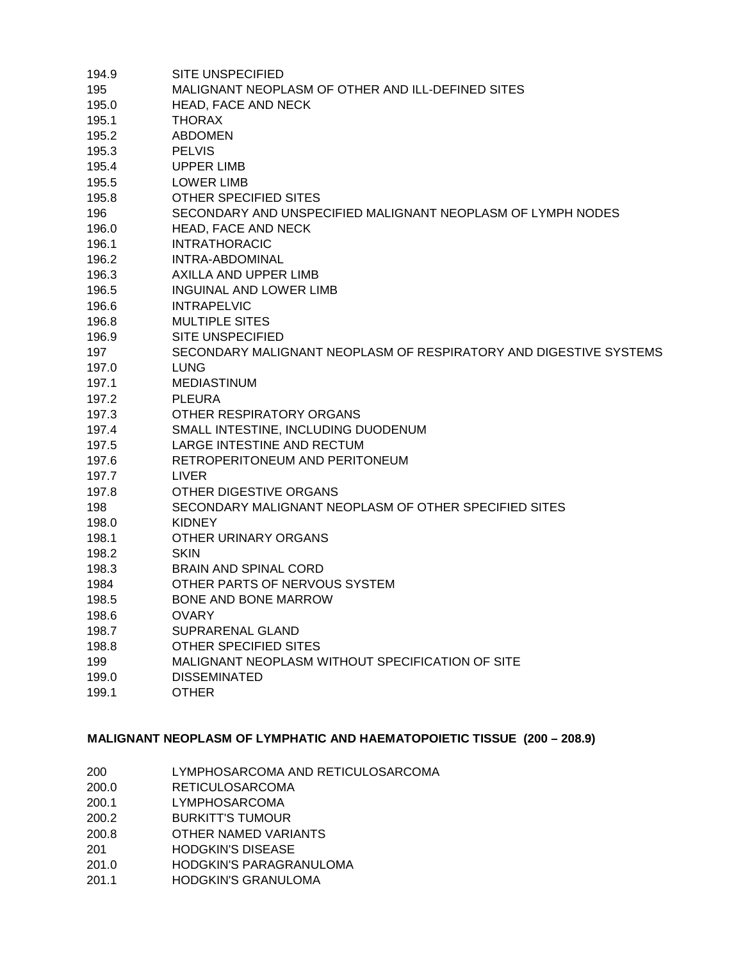| 194.9 | SITE UNSPECIFIED                                                  |
|-------|-------------------------------------------------------------------|
| 195   | MALIGNANT NEOPLASM OF OTHER AND ILL-DEFINED SITES                 |
| 195.0 | HEAD, FACE AND NECK                                               |
| 195.1 | <b>THORAX</b>                                                     |
| 195.2 | <b>ABDOMEN</b>                                                    |
| 195.3 | <b>PELVIS</b>                                                     |
| 195.4 | <b>UPPER LIMB</b>                                                 |
| 195.5 | <b>LOWER LIMB</b>                                                 |
| 195.8 | OTHER SPECIFIED SITES                                             |
| 196   | SECONDARY AND UNSPECIFIED MALIGNANT NEOPLASM OF LYMPH NODES       |
| 196.0 | HEAD, FACE AND NECK                                               |
| 196.1 | <b>INTRATHORACIC</b>                                              |
| 196.2 | INTRA-ABDOMINAL                                                   |
| 196.3 | AXILLA AND UPPER LIMB                                             |
| 196.5 | <b>INGUINAL AND LOWER LIMB</b>                                    |
| 196.6 | <b>INTRAPELVIC</b>                                                |
| 196.8 | <b>MULTIPLE SITES</b>                                             |
| 196.9 | <b>SITE UNSPECIFIED</b>                                           |
| 197   | SECONDARY MALIGNANT NEOPLASM OF RESPIRATORY AND DIGESTIVE SYSTEMS |
| 197.0 | <b>LUNG</b>                                                       |
| 197.1 | <b>MEDIASTINUM</b>                                                |
| 197.2 | <b>PLEURA</b>                                                     |
| 197.3 | OTHER RESPIRATORY ORGANS                                          |
| 197.4 | SMALL INTESTINE, INCLUDING DUODENUM                               |
| 197.5 | LARGE INTESTINE AND RECTUM                                        |
| 197.6 | RETROPERITONEUM AND PERITONEUM                                    |
| 197.7 | <b>LIVER</b>                                                      |
| 197.8 | OTHER DIGESTIVE ORGANS                                            |
| 198   | SECONDARY MALIGNANT NEOPLASM OF OTHER SPECIFIED SITES             |
| 198.0 | <b>KIDNEY</b>                                                     |
| 198.1 | OTHER URINARY ORGANS                                              |
| 198.2 | <b>SKIN</b>                                                       |
| 198.3 | <b>BRAIN AND SPINAL CORD</b>                                      |
| 1984  | OTHER PARTS OF NERVOUS SYSTEM                                     |
| 198.5 | <b>BONE AND BONE MARROW</b>                                       |
| 198.6 | <b>OVARY</b>                                                      |
| 198.7 | SUPRARENAL GLAND                                                  |
| 198.8 | <b>OTHER SPECIFIED SITES</b>                                      |
| 199   | MALIGNANT NEOPLASM WITHOUT SPECIFICATION OF SITE                  |
| 199.0 | <b>DISSEMINATED</b>                                               |
| 199.1 | <b>OTHER</b>                                                      |
|       |                                                                   |

#### **MALIGNANT NEOPLASM OF LYMPHATIC AND HAEMATOPOIETIC TISSUE (200 – 208.9)**

- 200 LYMPHOSARCOMA AND RETICULOSARCOMA
- 200.0 RETICULOSARCOMA
- 200.1 LYMPHOSARCOMA
- 200.2 BURKITT'S TUMOUR
- 200.8 OTHER NAMED VARIANTS
- 201 HODGKIN'S DISEASE
- 201.0 HODGKIN'S PARAGRANULOMA
- 201.1 HODGKIN'S GRANULOMA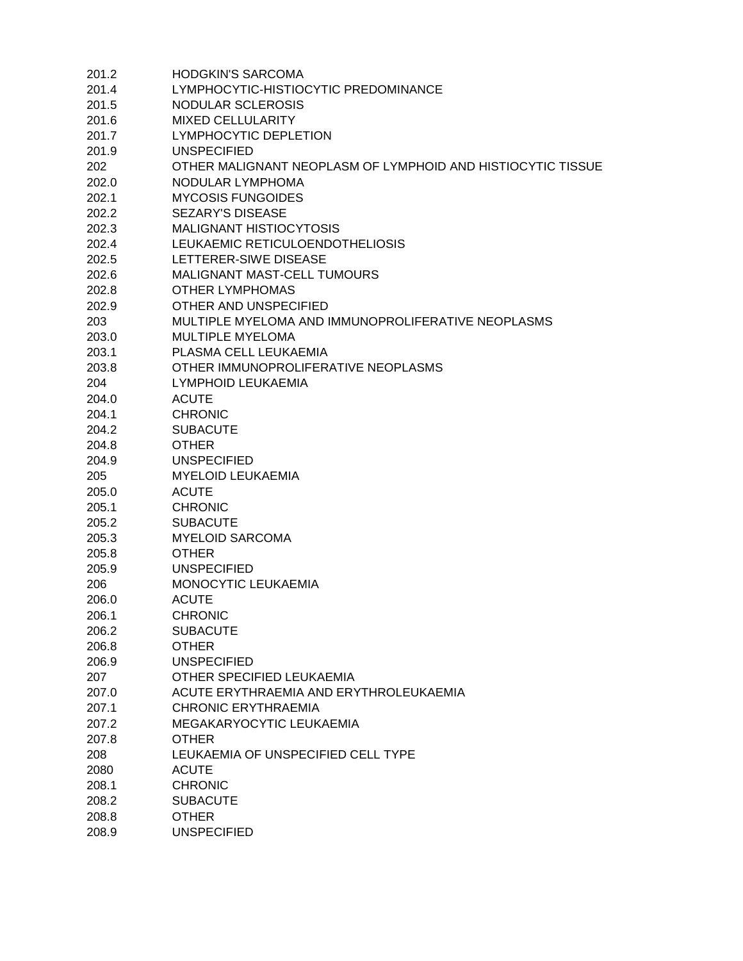| 201.2 | <b>HODGKIN'S SARCOMA</b>                                    |
|-------|-------------------------------------------------------------|
| 201.4 | LYMPHOCYTIC-HISTIOCYTIC PREDOMINANCE                        |
| 201.5 | NODULAR SCLEROSIS                                           |
| 201.6 | MIXED CELLULARITY                                           |
| 201.7 | <b>LYMPHOCYTIC DEPLETION</b>                                |
| 201.9 | <b>UNSPECIFIED</b>                                          |
| 202   | OTHER MALIGNANT NEOPLASM OF LYMPHOID AND HISTIOCYTIC TISSUE |
| 202.0 | NODULAR LYMPHOMA                                            |
| 202.1 | <b>MYCOSIS FUNGOIDES</b>                                    |
| 202.2 | <b>SEZARY'S DISEASE</b>                                     |
| 202.3 | <b>MALIGNANT HISTIOCYTOSIS</b>                              |
| 202.4 | LEUKAEMIC RETICULOENDOTHELIOSIS                             |
| 202.5 | LETTERER-SIWE DISEASE                                       |
| 202.6 | MALIGNANT MAST-CELL TUMOURS                                 |
| 202.8 | <b>OTHER LYMPHOMAS</b>                                      |
| 202.9 | OTHER AND UNSPECIFIED                                       |
| 203   | MULTIPLE MYELOMA AND IMMUNOPROLIFERATIVE NEOPLASMS          |
| 203.0 | <b>MULTIPLE MYELOMA</b>                                     |
| 203.1 | PLASMA CELL LEUKAEMIA                                       |
| 203.8 | OTHER IMMUNOPROLIFERATIVE NEOPLASMS                         |
|       | LYMPHOID LEUKAEMIA                                          |
| 204   |                                                             |
| 204.0 | <b>ACUTE</b>                                                |
| 204.1 | <b>CHRONIC</b>                                              |
| 204.2 | <b>SUBACUTE</b>                                             |
| 204.8 | <b>OTHER</b>                                                |
| 204.9 | <b>UNSPECIFIED</b>                                          |
| 205   | <b>MYELOID LEUKAEMIA</b>                                    |
| 205.0 | <b>ACUTE</b>                                                |
| 205.1 | <b>CHRONIC</b>                                              |
| 205.2 | <b>SUBACUTE</b>                                             |
| 205.3 | <b>MYELOID SARCOMA</b>                                      |
| 205.8 | <b>OTHER</b>                                                |
| 205.9 | <b>UNSPECIFIED</b>                                          |
| 206   | MONOCYTIC LEUKAEMIA                                         |
| 206.0 | <b>ACUTE</b>                                                |
| 206.1 | <b>CHRONIC</b>                                              |
| 206.2 | <b>SUBACUTE</b>                                             |
| 206.8 | <b>OTHER</b>                                                |
| 206.9 | <b>UNSPECIFIED</b>                                          |
| 207   | OTHER SPECIFIED LEUKAEMIA                                   |
| 207.0 | ACUTE ERYTHRAEMIA AND ERYTHROLEUKAEMIA                      |
| 207.1 | <b>CHRONIC ERYTHRAEMIA</b>                                  |
| 207.2 | MEGAKARYOCYTIC LEUKAEMIA                                    |
| 207.8 | <b>OTHER</b>                                                |
| 208   | LEUKAEMIA OF UNSPECIFIED CELL TYPE                          |
| 2080  | <b>ACUTE</b>                                                |
| 208.1 | <b>CHRONIC</b>                                              |
| 208.2 | <b>SUBACUTE</b>                                             |
| 208.8 | <b>OTHER</b>                                                |
| 208.9 | <b>UNSPECIFIED</b>                                          |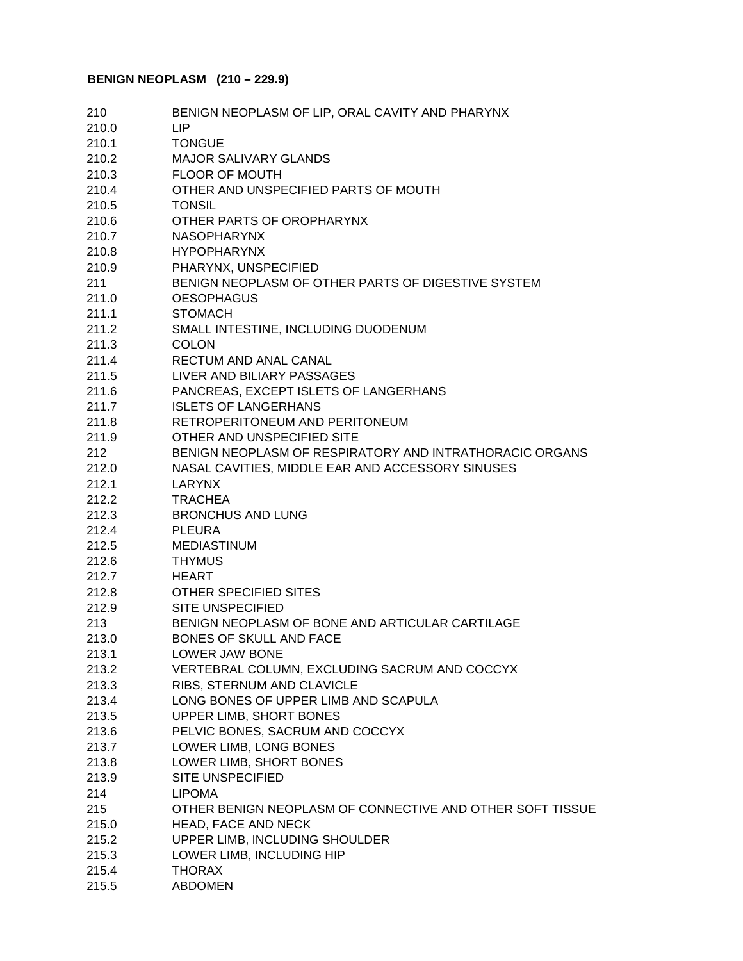# **BENIGN NEOPLASM (210 – 229.9)**

| 210   | BENIGN NEOPLASM OF LIP, ORAL CAVITY AND PHARYNX           |
|-------|-----------------------------------------------------------|
| 210.0 | <b>LIP</b>                                                |
| 210.1 | <b>TONGUE</b>                                             |
| 210.2 | <b>MAJOR SALIVARY GLANDS</b>                              |
| 210.3 | <b>FLOOR OF MOUTH</b>                                     |
| 210.4 | OTHER AND UNSPECIFIED PARTS OF MOUTH                      |
| 210.5 | <b>TONSIL</b>                                             |
| 210.6 | OTHER PARTS OF OROPHARYNX                                 |
| 210.7 | <b>NASOPHARYNX</b>                                        |
| 210.8 | <b>HYPOPHARYNX</b>                                        |
| 210.9 | PHARYNX, UNSPECIFIED                                      |
| 211   | BENIGN NEOPLASM OF OTHER PARTS OF DIGESTIVE SYSTEM        |
| 211.0 | <b>OESOPHAGUS</b>                                         |
| 211.1 | <b>STOMACH</b>                                            |
| 211.2 | SMALL INTESTINE, INCLUDING DUODENUM                       |
| 211.3 | <b>COLON</b>                                              |
| 211.4 | RECTUM AND ANAL CANAL                                     |
| 211.5 | LIVER AND BILIARY PASSAGES                                |
| 211.6 | PANCREAS, EXCEPT ISLETS OF LANGERHANS                     |
| 211.7 | <b>ISLETS OF LANGERHANS</b>                               |
| 211.8 | RETROPERITONEUM AND PERITONEUM                            |
| 211.9 | OTHER AND UNSPECIFIED SITE                                |
| 212   | BENIGN NEOPLASM OF RESPIRATORY AND INTRATHORACIC ORGANS   |
| 212.0 | NASAL CAVITIES, MIDDLE EAR AND ACCESSORY SINUSES          |
| 212.1 | LARYNX                                                    |
| 212.2 | <b>TRACHEA</b>                                            |
| 212.3 | <b>BRONCHUS AND LUNG</b>                                  |
| 212.4 | <b>PLEURA</b>                                             |
| 212.5 | <b>MEDIASTINUM</b>                                        |
| 212.6 | <b>THYMUS</b>                                             |
| 212.7 | HEART                                                     |
| 212.8 | <b>OTHER SPECIFIED SITES</b>                              |
| 212.9 | <b>SITE UNSPECIFIED</b>                                   |
| 213   | BENIGN NEOPLASM OF BONE AND ARTICULAR CARTILAGE           |
| 213.0 | BONES OF SKULL AND FACE                                   |
| 213.1 | LOWER JAW BONE                                            |
| 213.2 | VERTEBRAL COLUMN, EXCLUDING SACRUM AND COCCYX             |
| 213.3 | RIBS, STERNUM AND CLAVICLE                                |
| 213.4 | LONG BONES OF UPPER LIMB AND SCAPULA                      |
| 213.5 | UPPER LIMB, SHORT BONES                                   |
| 213.6 | PELVIC BONES, SACRUM AND COCCYX                           |
| 213.7 | LOWER LIMB, LONG BONES                                    |
| 213.8 | LOWER LIMB, SHORT BONES                                   |
| 213.9 | <b>SITE UNSPECIFIED</b>                                   |
| 214   | <b>LIPOMA</b>                                             |
| 215   | OTHER BENIGN NEOPLASM OF CONNECTIVE AND OTHER SOFT TISSUE |
| 215.0 | HEAD, FACE AND NECK                                       |
| 215.2 | UPPER LIMB, INCLUDING SHOULDER                            |
| 215.3 | LOWER LIMB, INCLUDING HIP                                 |
| 215.4 | <b>THORAX</b>                                             |
| 215.5 | <b>ABDOMEN</b>                                            |
|       |                                                           |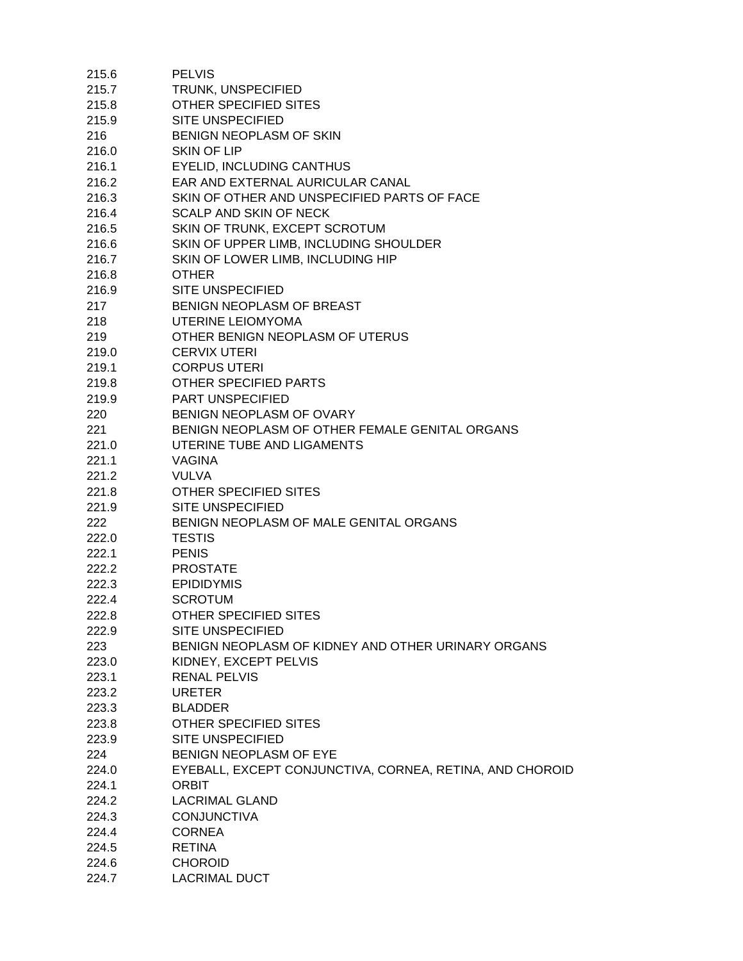| 215.6 | <b>PELVIS</b>                                            |
|-------|----------------------------------------------------------|
| 215.7 | TRUNK, UNSPECIFIED                                       |
| 215.8 | <b>OTHER SPECIFIED SITES</b>                             |
| 215.9 | <b>SITE UNSPECIFIED</b>                                  |
| 216   | BENIGN NEOPLASM OF SKIN                                  |
| 216.0 | SKIN OF LIP                                              |
| 216.1 | <b>EYELID, INCLUDING CANTHUS</b>                         |
| 216.2 | EAR AND EXTERNAL AURICULAR CANAL                         |
|       | SKIN OF OTHER AND UNSPECIFIED PARTS OF FACE              |
| 216.3 |                                                          |
| 216.4 | SCALP AND SKIN OF NECK                                   |
| 216.5 | SKIN OF TRUNK, EXCEPT SCROTUM                            |
| 216.6 | SKIN OF UPPER LIMB, INCLUDING SHOULDER                   |
| 216.7 | SKIN OF LOWER LIMB, INCLUDING HIP                        |
| 216.8 | <b>OTHER</b>                                             |
| 216.9 | <b>SITE UNSPECIFIED</b>                                  |
| 217   | BENIGN NEOPLASM OF BREAST                                |
| 218   | UTERINE LEIOMYOMA                                        |
| 219   | OTHER BENIGN NEOPLASM OF UTERUS                          |
| 219.0 | <b>CERVIX UTERI</b>                                      |
| 219.1 | <b>CORPUS UTERI</b>                                      |
| 219.8 | OTHER SPECIFIED PARTS                                    |
| 219.9 | <b>PART UNSPECIFIED</b>                                  |
| 220   | BENIGN NEOPLASM OF OVARY                                 |
|       |                                                          |
| 221   | BENIGN NEOPLASM OF OTHER FEMALE GENITAL ORGANS           |
| 221.0 | UTERINE TUBE AND LIGAMENTS                               |
| 221.1 | <b>VAGINA</b>                                            |
| 221.2 | <b>VULVA</b>                                             |
| 221.8 | OTHER SPECIFIED SITES                                    |
| 221.9 | <b>SITE UNSPECIFIED</b>                                  |
| 222   | BENIGN NEOPLASM OF MALE GENITAL ORGANS                   |
| 222.0 | <b>TESTIS</b>                                            |
| 222.1 | <b>PENIS</b>                                             |
| 222.2 | <b>PROSTATE</b>                                          |
| 222.3 | <b>EPIDIDYMIS</b>                                        |
| 222.4 | <b>SCROTUM</b>                                           |
| 222.8 | OTHER SPECIFIED SITES                                    |
| 222.9 | <b>SITE UNSPECIFIED</b>                                  |
| 223   | BENIGN NEOPLASM OF KIDNEY AND OTHER URINARY ORGANS       |
| 223.0 | KIDNEY, EXCEPT PELVIS                                    |
| 223.1 | <b>RENAL PELVIS</b>                                      |
|       | <b>URETER</b>                                            |
| 223.2 |                                                          |
| 223.3 | <b>BLADDER</b>                                           |
| 223.8 | <b>OTHER SPECIFIED SITES</b>                             |
| 223.9 | <b>SITE UNSPECIFIED</b>                                  |
| 224   | BENIGN NEOPLASM OF EYE                                   |
| 224.0 | EYEBALL, EXCEPT CONJUNCTIVA, CORNEA, RETINA, AND CHOROID |
| 224.1 | <b>ORBIT</b>                                             |
| 224.2 | <b>LACRIMAL GLAND</b>                                    |
| 224.3 | <b>CONJUNCTIVA</b>                                       |
| 224.4 | <b>CORNEA</b>                                            |
| 224.5 | <b>RETINA</b>                                            |
| 224.6 | <b>CHOROID</b>                                           |
| 224.7 | <b>LACRIMAL DUCT</b>                                     |
|       |                                                          |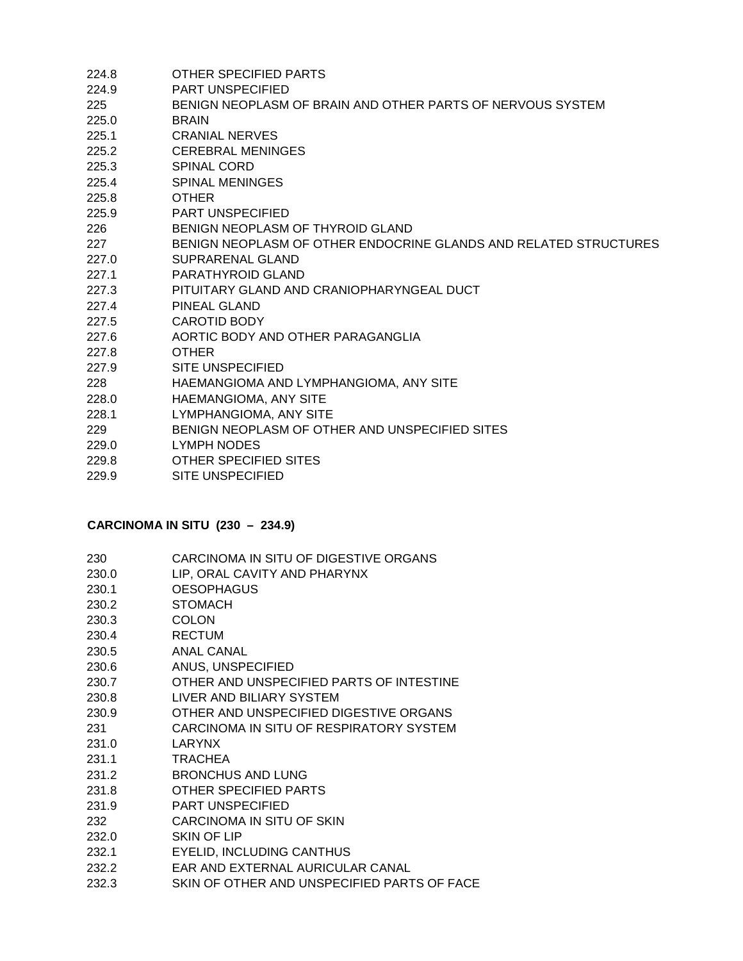| 224.8 | OTHER SPECIFIED PARTS                                            |
|-------|------------------------------------------------------------------|
| 224.9 | <b>PART UNSPECIFIED</b>                                          |
| 225   | BENIGN NEOPLASM OF BRAIN AND OTHER PARTS OF NERVOUS SYSTEM       |
| 225.0 | <b>BRAIN</b>                                                     |
| 225.1 | <b>CRANIAL NERVES</b>                                            |
| 225.2 | <b>CEREBRAL MENINGES</b>                                         |
| 225.3 | <b>SPINAL CORD</b>                                               |
| 225.4 | <b>SPINAL MENINGES</b>                                           |
| 225.8 | <b>OTHER</b>                                                     |
| 225.9 | <b>PART UNSPECIFIED</b>                                          |
| 226   | BENIGN NEOPLASM OF THYROID GLAND                                 |
| 227   | BENIGN NEOPLASM OF OTHER ENDOCRINE GLANDS AND RELATED STRUCTURES |
| 227.0 | SUPRARENAL GLAND                                                 |
| 227.1 | <b>PARATHYROID GLAND</b>                                         |
| 227.3 | PITUITARY GLAND AND CRANIOPHARYNGEAL DUCT                        |
| 227.4 | PINEAL GLAND                                                     |
| 227.5 | <b>CAROTID BODY</b>                                              |
| 227.6 | AORTIC BODY AND OTHER PARAGANGLIA                                |
| 227.8 | <b>OTHER</b>                                                     |
| 227.9 | <b>SITE UNSPECIFIED</b>                                          |
| 228   | HAEMANGIOMA AND LYMPHANGIOMA, ANY SITE                           |
| 228.0 | HAEMANGIOMA, ANY SITE                                            |
| 228.1 | LYMPHANGIOMA, ANY SITE                                           |
| 229   | BENIGN NEOPLASM OF OTHER AND UNSPECIFIED SITES                   |
| 229.0 | <b>LYMPH NODES</b>                                               |
| 229.8 | OTHER SPECIFIED SITES                                            |
| 229.9 | <b>SITE UNSPECIFIED</b>                                          |

#### **CARCINOMA IN SITU (230 – 234.9)**

| 230 | CARCINOMA IN SITU OF DIGESTIVE ORGANS |
|-----|---------------------------------------|
|     |                                       |

- 230.0 LIP, ORAL CAVITY AND PHARYNX
- 230.1 OESOPHAGUS
- 230.2 STOMACH
- 230.3 COLON
- 230.4 RECTUM
- 230.5 ANAL CANAL
- 230.6 ANUS, UNSPECIFIED
- 230.7 OTHER AND UNSPECIFIED PARTS OF INTESTINE
- 230.8 LIVER AND BILIARY SYSTEM
- 230.9 OTHER AND UNSPECIFIED DIGESTIVE ORGANS
- 231 CARCINOMA IN SITU OF RESPIRATORY SYSTEM
- 231.0 LARYNX
- 231.1 TRACHEA
- 231.2 BRONCHUS AND LUNG
- 231.8 OTHER SPECIFIED PARTS
- 231.9 PART UNSPECIFIED
- 232 CARCINOMA IN SITU OF SKIN
- 232.0 SKIN OF LIP
- 232.1 EYELID, INCLUDING CANTHUS
- 232.2 EAR AND EXTERNAL AURICULAR CANAL
- 232.3 SKIN OF OTHER AND UNSPECIFIED PARTS OF FACE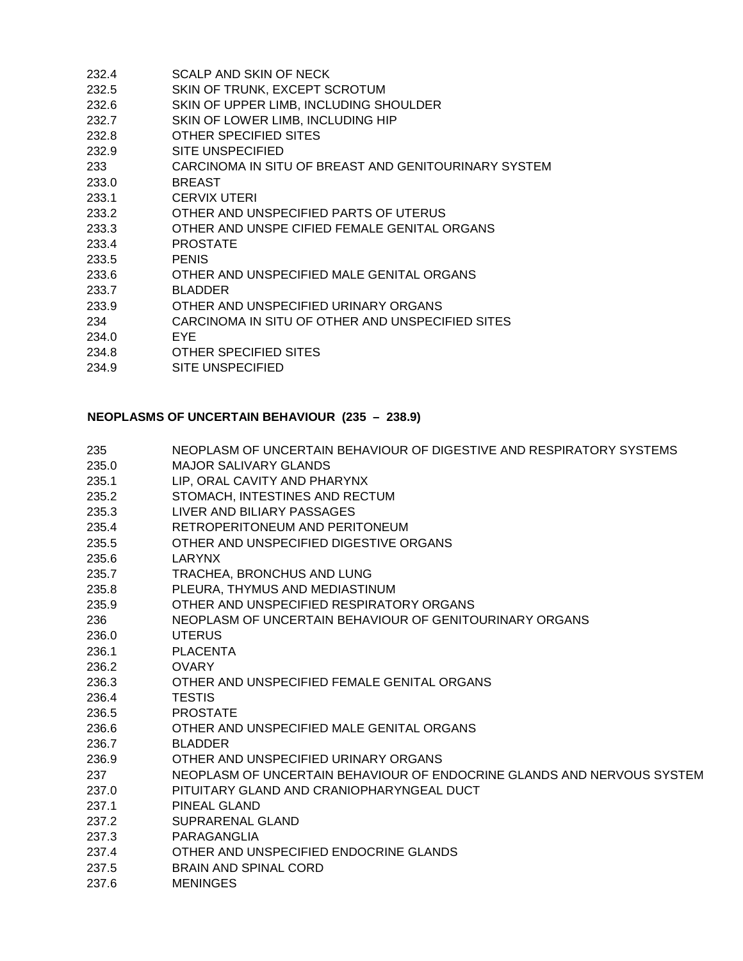| 232.4 | SCALP AND SKIN OF NECK                               |
|-------|------------------------------------------------------|
| 232.5 | SKIN OF TRUNK, EXCEPT SCROTUM                        |
| 232.6 | SKIN OF UPPER LIMB, INCLUDING SHOULDER               |
| 232.7 | SKIN OF LOWER LIMB, INCLUDING HIP                    |
| 232.8 | OTHER SPECIFIED SITES                                |
| 232.9 | <b>SITE UNSPECIFIED</b>                              |
| 233   | CARCINOMA IN SITU OF BREAST AND GENITOURINARY SYSTEM |
| 233.0 | <b>BREAST</b>                                        |
| 233.1 | <b>CERVIX UTERI</b>                                  |
| 233.2 | OTHER AND UNSPECIFIED PARTS OF UTERUS                |
| 233.3 | OTHER AND UNSPE CIFIED FEMALE GENITAL ORGANS         |
| 233.4 | <b>PROSTATE</b>                                      |
| 233.5 | <b>PENIS</b>                                         |
| 233.6 | OTHER AND UNSPECIFIED MALE GENITAL ORGANS            |
| 233.7 | <b>BLADDER</b>                                       |
| 233.9 | OTHER AND UNSPECIFIED URINARY ORGANS                 |
| 234   | CARCINOMA IN SITU OF OTHER AND UNSPECIFIED SITES     |
| 234.0 | EYE                                                  |
| 234.8 | OTHER SPECIFIED SITES                                |
| 234.9 | SITE UNSPECIFIED                                     |

# **NEOPLASMS OF UNCERTAIN BEHAVIOUR (235 – 238.9)**

| 235   | NEOPLASM OF UNCERTAIN BEHAVIOUR OF DIGESTIVE AND RESPIRATORY SYSTEMS   |
|-------|------------------------------------------------------------------------|
| 235.0 | MAJOR SALIVARY GLANDS                                                  |
| 235.1 | LIP, ORAL CAVITY AND PHARYNX                                           |
| 235.2 | STOMACH, INTESTINES AND RECTUM                                         |
| 235.3 | LIVER AND BILIARY PASSAGES                                             |
| 235.4 | RETROPERITONEUM AND PERITONEUM                                         |
| 235.5 | OTHER AND UNSPECIFIED DIGESTIVE ORGANS                                 |
| 235.6 | LARYNX                                                                 |
| 235.7 | TRACHEA, BRONCHUS AND LUNG                                             |
| 235.8 | PLEURA, THYMUS AND MEDIASTINUM                                         |
| 235.9 | OTHER AND UNSPECIFIED RESPIRATORY ORGANS                               |
| 236   | NEOPLASM OF UNCERTAIN BEHAVIOUR OF GENITOURINARY ORGANS                |
| 236.0 | <b>UTERUS</b>                                                          |
| 236.1 | <b>PLACENTA</b>                                                        |
| 236.2 | <b>OVARY</b>                                                           |
| 236.3 | OTHER AND UNSPECIFIED FEMALE GENITAL ORGANS                            |
| 236.4 | <b>TESTIS</b>                                                          |
| 236.5 | <b>PROSTATE</b>                                                        |
| 236.6 | OTHER AND UNSPECIFIED MALE GENITAL ORGANS                              |
| 236.7 | <b>BLADDER</b>                                                         |
| 236.9 | OTHER AND UNSPECIFIED URINARY ORGANS                                   |
| 237   | NEOPLASM OF UNCERTAIN BEHAVIOUR OF ENDOCRINE GLANDS AND NERVOUS SYSTEM |
| 237.0 | PITUITARY GLAND AND CRANIOPHARYNGEAL DUCT                              |
| 237.1 | <b>PINEAL GLAND</b>                                                    |
| 237.2 | SUPRARENAL GLAND                                                       |
| 237.3 | PARAGANGLIA                                                            |
| 237.4 | OTHER AND UNSPECIFIED ENDOCRINE GLANDS                                 |
| 237.5 | <b>BRAIN AND SPINAL CORD</b>                                           |
| 237.6 | <b>MENINGES</b>                                                        |